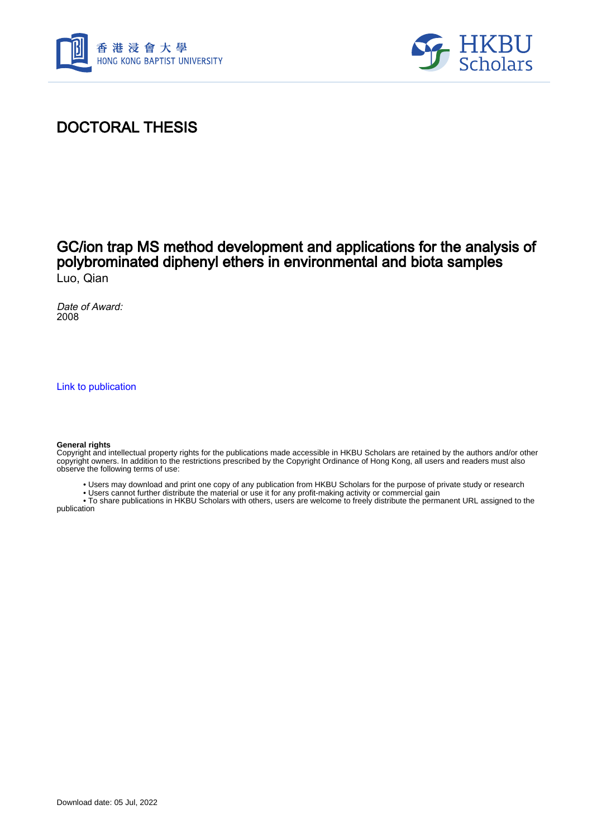



#### DOCTORAL THESIS

#### GC/ion trap MS method development and applications for the analysis of polybrominated diphenyl ethers in environmental and biota samples Luo, Qian

Date of Award: 2008

[Link to publication](https://scholars.hkbu.edu.hk/en/studentTheses/6c3244f9-7ca0-4a36-9915-6718a7cfaedd)

#### **General rights**

Copyright and intellectual property rights for the publications made accessible in HKBU Scholars are retained by the authors and/or other copyright owners. In addition to the restrictions prescribed by the Copyright Ordinance of Hong Kong, all users and readers must also observe the following terms of use:

• Users may download and print one copy of any publication from HKBU Scholars for the purpose of private study or research

• Users cannot further distribute the material or use it for any profit-making activity or commercial gain

 • To share publications in HKBU Scholars with others, users are welcome to freely distribute the permanent URL assigned to the publication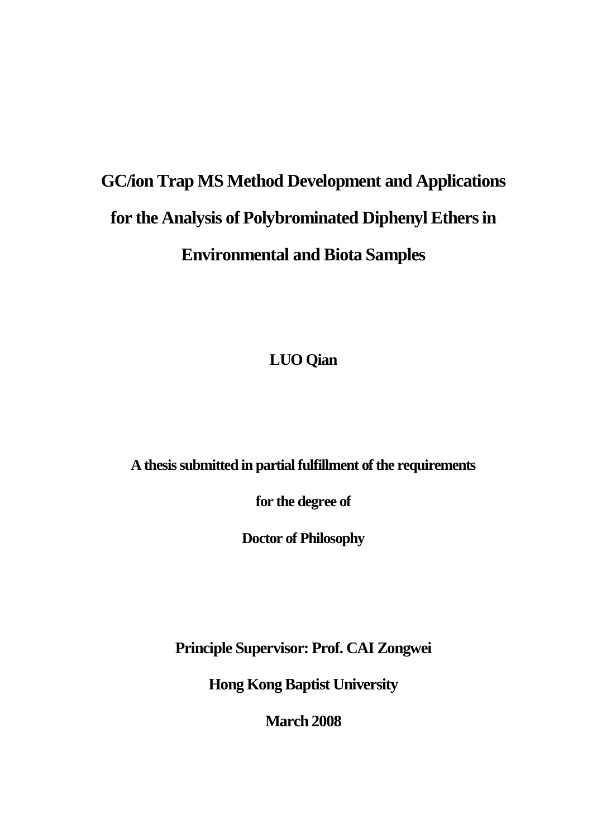# **GC/ion Trap MS Method Development and Applications for the Analysis of Polybrominated Diphenyl Ethersin Environmental and Biota Samples**

**LUO Qian** 

**A thesissubmitted in partialfulfillment of the requirements** 

**for the degree of** 

**Doctor of Philosophy** 

**Principle Supervisor: Prof. CAI Zongwei** 

**Hong Kong Baptist University** 

**March 2008**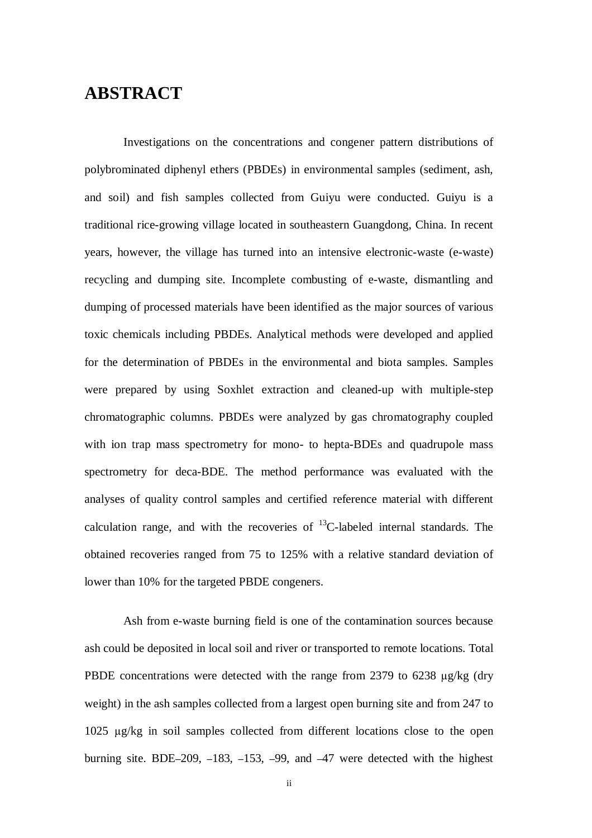#### **ABSTRACT**

Investigations on the concentrations and congener pattern distributions of polybrominated diphenyl ethers (PBDEs) in environmental samples (sediment, ash, and soil) and fish samples collected from Guiyu were conducted. Guiyu is a traditional rice-growing village located in southeastern Guangdong, China. In recent years, however, the village has turned into an intensive electronic-waste (e-waste) recycling and dumping site. Incomplete combusting of e-waste, dismantling and dumping of processed materials have been identified as the major sources of various toxic chemicals including PBDEs. Analytical methods were developed and applied for the determination of PBDEs in the environmental and biota samples. Samples were prepared by using Soxhlet extraction and cleaned-up with multiple-step chromatographic columns. PBDEs were analyzed by gas chromatography coupled with ion trap mass spectrometry for mono- to hepta-BDEs and quadrupole mass spectrometry for deca-BDE. The method performance was evaluated with the analyses of quality control samples and certified reference material with different calculation range, and with the recoveries of  $^{13}$ C-labeled internal standards. The obtained recoveries ranged from 75 to 125% with a relative standard deviation of lower than 10% for the targeted PBDE congeners.

Ash from e-waste burning field is one of the contamination sources because ash could be deposited in local soil and river or transported to remote locations. Total PBDE concentrations were detected with the range from 2379 to 6238 µg/kg (dry weight) in the ash samples collected from a largest open burning site and from 247 to 1025 µg/kg in soil samples collected from different locations close to the open burning site. BDE**–**209, **–**183, **–**153, **–**99, and **–**47 were detected with the highest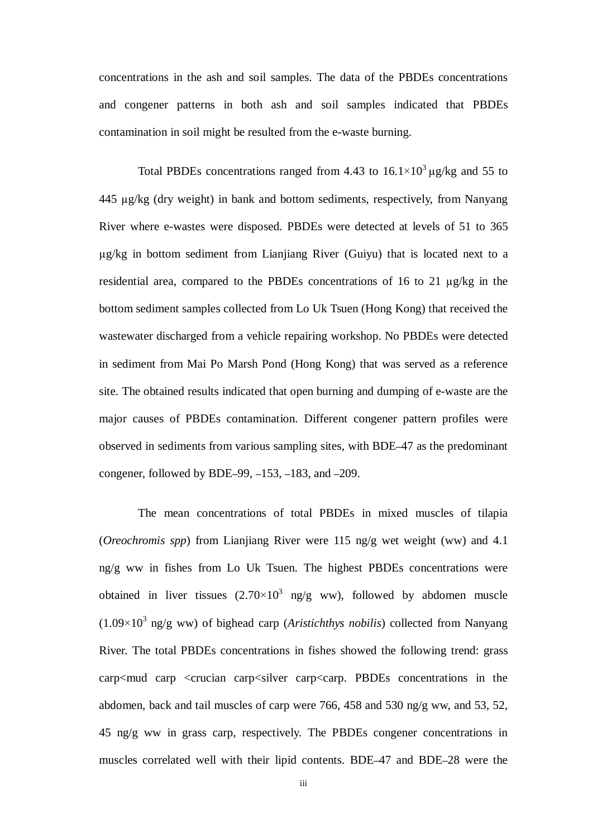concentrations in the ash and soil samples. The data of the PBDEs concentrations and congener patterns in both ash and soil samples indicated that PBDEs contamination in soil might be resulted from the e-waste burning.

Total PBDEs concentrations ranged from 4.43 to  $16.1 \times 10^3$  µg/kg and 55 to 445 µg/kg (dry weight) in bank and bottom sediments, respectively, from Nanyang River where e-wastes were disposed. PBDEs were detected at levels of 51 to 365 µg/kg in bottom sediment from Lianjiang River (Guiyu) that is located next to a residential area, compared to the PBDEs concentrations of 16 to 21 µg/kg in the bottom sediment samples collected from Lo Uk Tsuen (Hong Kong) that received the wastewater discharged from a vehicle repairing workshop. No PBDEs were detected in sediment from Mai Po Marsh Pond (Hong Kong) that was served as a reference site. The obtained results indicated that open burning and dumping of e-waste are the major causes of PBDEs contamination. Different congener pattern profiles were observed in sediments from various sampling sites, with BDE**–**47 as the predominant congener, followed by BDE**–**99, **–**153, **–**183, and **–**209.

The mean concentrations of total PBDEs in mixed muscles of tilapia (*Oreochromis spp*) from Lianjiang River were 115 ng/g wet weight (ww) and 4.1 ng/g ww in fishes from Lo Uk Tsuen. The highest PBDEs concentrations were obtained in liver tissues  $(2.70 \times 10^3 \text{ ng/g ww})$ , followed by abdomen muscle  $(1.09 \times 10^3 \text{ ng/g} \text{ ww})$  of bighead carp (*Aristichthys nobilis*) collected from Nanyang River. The total PBDEs concentrations in fishes showed the following trend: grass carp<mud carp <crucian carp<silver carp<carp. PBDEs concentrations in the abdomen, back and tail muscles of carp were 766, 458 and 530 ng/g ww, and 53, 52, 45 ng/g ww in grass carp, respectively. The PBDEs congener concentrations in muscles correlated well with their lipid contents. BDE**–**47 and BDE**–**28 were the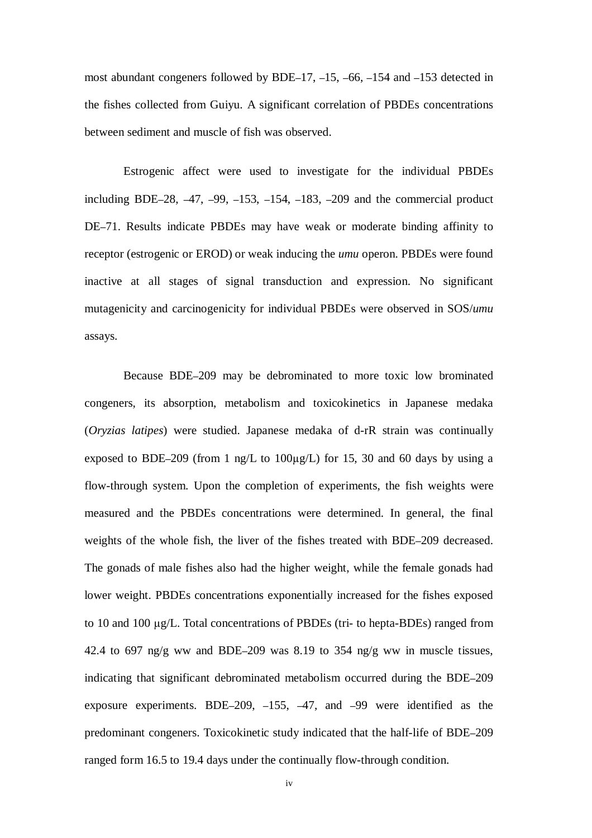most abundant congeners followed by BDE**–**17, **–**15, **–**66, **–**154 and **–**153 detected in the fishes collected from Guiyu. A significant correlation of PBDEs concentrations between sediment and muscle of fish was observed.

Estrogenic affect were used to investigate for the individual PBDEs including BDE**–**28, **–**47, **–**99, **–**153, **–**154, **–**183, **–**209 and the commercial product DE**–**71. Results indicate PBDEs may have weak or moderate binding affinity to receptor (estrogenic or EROD) or weak inducing the *umu* operon. PBDEs were found inactive at all stages of signal transduction and expression. No significant mutagenicity and carcinogenicity for individual PBDEs were observed in SOS/*umu*  assays.

Because BDE**–**209 may be debrominated to more toxic low brominated congeners, its absorption, metabolism and toxicokinetics in Japanese medaka (*Oryzias latipes*) were studied. Japanese medaka of d-rR strain was continually exposed to BDE**–**209 (from 1 ng/L to 100µg/L) for 15, 30 and 60 days by using a flow-through system. Upon the completion of experiments, the fish weights were measured and the PBDEs concentrations were determined. In general, the final weights of the whole fish, the liver of the fishes treated with BDE**–**209 decreased. The gonads of male fishes also had the higher weight, while the female gonads had lower weight. PBDEs concentrations exponentially increased for the fishes exposed to 10 and 100 µg/L. Total concentrations of PBDEs (tri- to hepta-BDEs) ranged from 42.4 to 697 ng/g ww and BDE**–**209 was 8.19 to 354 ng/g ww in muscle tissues, indicating that significant debrominated metabolism occurred during the BDE**–**209 exposure experiments. BDE**–**209, **–**155, **–**47, and **–**99 were identified as the predominant congeners. Toxicokinetic study indicated that the half-life of BDE**–**209 ranged form 16.5 to 19.4 days under the continually flow-through condition.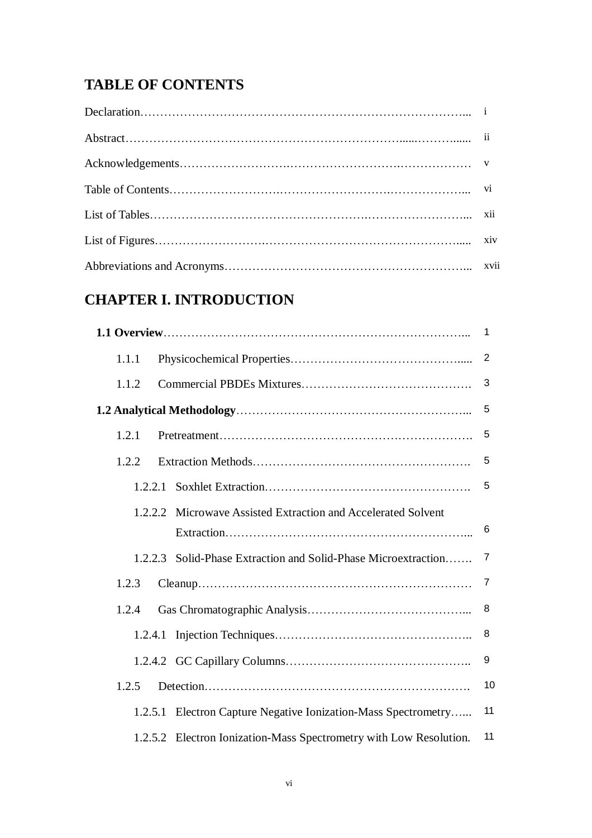### **TABLE OF CONTENTS**

#### **CHAPTER I. INTRODUCTION**

|            |                                                                    | 1  |
|------------|--------------------------------------------------------------------|----|
| 1.1.1      |                                                                    | 2  |
| 1.1.2      |                                                                    | 3  |
|            |                                                                    | 5  |
| 1.2.1      |                                                                    | 5  |
| 1.2.2      |                                                                    | 5  |
| 1, 2, 2, 1 |                                                                    | 5  |
|            | 1.2.2.2 Microwave Assisted Extraction and Accelerated Solvent      |    |
|            |                                                                    | 6  |
|            | 1.2.2.3 Solid-Phase Extraction and Solid-Phase Microextraction     | 7  |
| 1.2.3      |                                                                    | 7  |
| 1.2.4      |                                                                    | 8  |
|            |                                                                    | 8  |
|            |                                                                    | 9  |
| 1.2.5      |                                                                    | 10 |
|            | 1.2.5.1 Electron Capture Negative Ionization-Mass Spectrometry     | 11 |
|            | 1.2.5.2 Electron Ionization-Mass Spectrometry with Low Resolution. | 11 |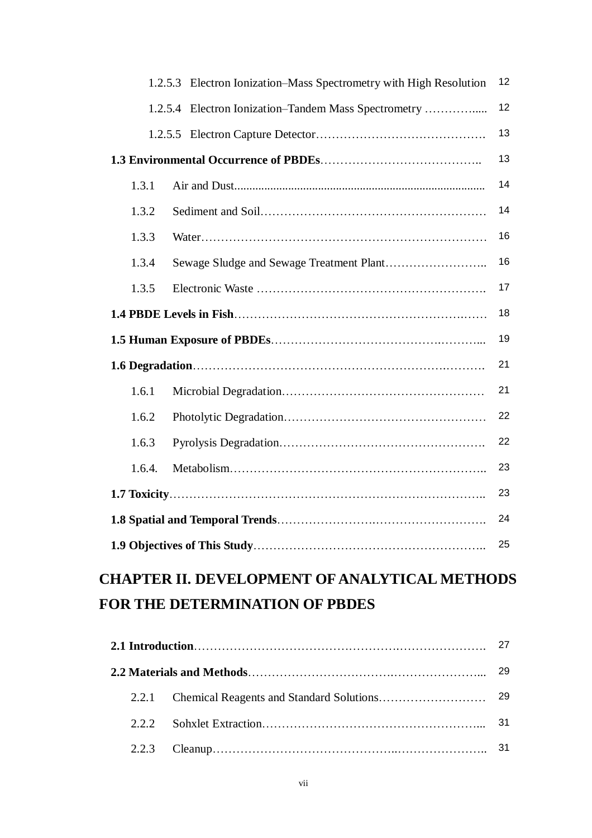|        | 1.2.5.3 Electron Ionization–Mass Spectrometry with High Resolution | 12 |
|--------|--------------------------------------------------------------------|----|
|        | 1.2.5.4 Electron Ionization–Tandem Mass Spectrometry               | 12 |
|        | 1.2.5.5                                                            | 13 |
|        |                                                                    | 13 |
| 1.3.1  |                                                                    | 14 |
| 1.3.2  |                                                                    | 14 |
| 1.3.3  |                                                                    | 16 |
| 1.3.4  |                                                                    | 16 |
| 1.3.5  |                                                                    | 17 |
|        |                                                                    | 18 |
|        |                                                                    | 19 |
|        |                                                                    | 21 |
| 1.6.1  |                                                                    | 21 |
| 1.6.2  |                                                                    | 22 |
| 1.6.3  |                                                                    | 22 |
| 1.6.4. |                                                                    | 23 |
|        |                                                                    | 23 |
|        |                                                                    | 24 |
|        |                                                                    | 25 |

# **CHAPTER II. DEVELOPMENT OF ANALYTICAL METHODS FOR THE DETERMINATION OF PBDES**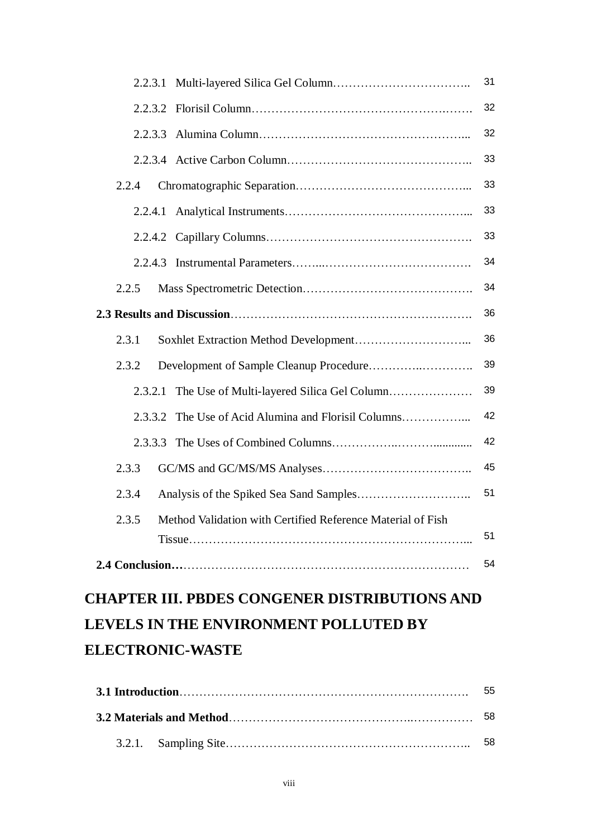|         |                                                             | 31 |
|---------|-------------------------------------------------------------|----|
|         |                                                             | 32 |
|         |                                                             | 32 |
|         |                                                             | 33 |
| 2.2.4   |                                                             | 33 |
|         |                                                             | 33 |
|         |                                                             | 33 |
|         |                                                             | 34 |
| 2.2.5   |                                                             | 34 |
|         |                                                             | 36 |
| 2.3.1   |                                                             | 36 |
| 2.3.2   |                                                             | 39 |
| 2.3.2.1 |                                                             | 39 |
|         | 2.3.3.2 The Use of Acid Alumina and Florisil Columns        | 42 |
|         |                                                             | 42 |
| 2.3.3   |                                                             | 45 |
| 2.3.4   |                                                             | 51 |
| 2.3.5   | Method Validation with Certified Reference Material of Fish |    |
|         |                                                             | 51 |
|         |                                                             | 54 |
|         | <b>CHAPTER III. PBDES CONGENER DISTRIBUTIONS AND</b>        |    |
|         | LEVELS IN THE ENVIRONMENT POLLUTED BY                       |    |

## **ELECTRONIC-WASTE**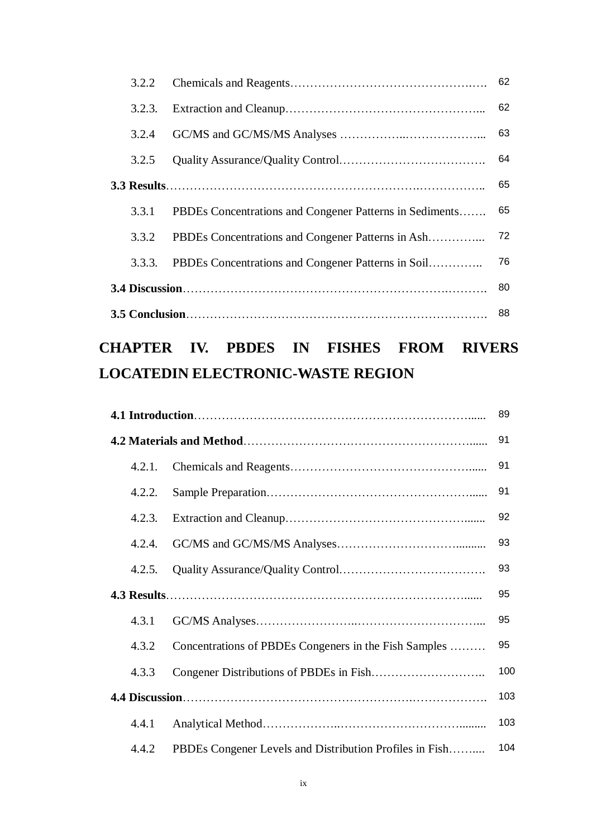| 3.2.2  |                                                         | 62 |
|--------|---------------------------------------------------------|----|
| 3.2.3. |                                                         | 62 |
| 3.2.4  |                                                         | 63 |
| 3.2.5  |                                                         | 64 |
|        |                                                         | 65 |
| 3.3.1  | PBDEs Concentrations and Congener Patterns in Sediments | 65 |
| 3.3.2  | PBDEs Concentrations and Congener Patterns in Ash       | 72 |
| 3.3.3. | PBDEs Concentrations and Congener Patterns in Soil      | 76 |
|        |                                                         | 80 |
|        |                                                         | 88 |

# **CHAPTER IV. PBDES IN FISHES FROM RIVERS LOCATEDIN ELECTRONIC-WASTE REGION**

|        |                                                         | 89  |
|--------|---------------------------------------------------------|-----|
|        |                                                         | 91  |
| 4.2.1. |                                                         | 91  |
| 4.2.2. |                                                         | 91  |
| 4.2.3. |                                                         | 92  |
| 4.2.4. |                                                         | 93  |
| 4.2.5. |                                                         | 93  |
|        |                                                         | 95  |
| 4.3.1  |                                                         | 95  |
| 4.3.2  | Concentrations of PBDEs Congeners in the Fish Samples   | 95  |
| 4.3.3  |                                                         | 100 |
|        |                                                         | 103 |
| 4.4.1  |                                                         | 103 |
| 4.4.2  | PBDEs Congener Levels and Distribution Profiles in Fish | 104 |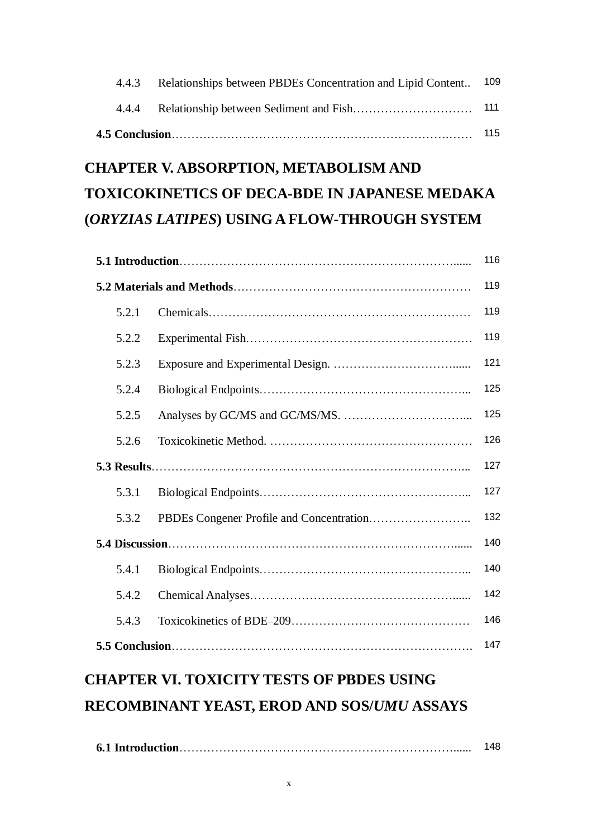|  |                                                                       | 115 |
|--|-----------------------------------------------------------------------|-----|
|  |                                                                       |     |
|  | 4.4.3 Relationships between PBDEs Concentration and Lipid Content 109 |     |

# **CHAPTER V. ABSORPTION, METABOLISM AND TOXICOKINETICS OF DECA-BDE IN JAPANESE MEDAKA (***ORYZIAS LATIPES***) USING A FLOW-THROUGH SYSTEM**

|       |       |     | 116 |
|-------|-------|-----|-----|
|       |       |     | 119 |
| 5.2.1 |       | 119 |     |
|       | 5.2.2 |     | 119 |
|       | 5.2.3 |     | 121 |
|       | 5.2.4 |     | 125 |
|       | 5.2.5 |     | 125 |
|       | 5.2.6 |     | 126 |
|       |       |     | 127 |
|       | 5.3.1 |     | 127 |
|       | 5.3.2 |     | 132 |
|       |       |     | 140 |
|       | 5.4.1 |     | 140 |
|       | 5.4.2 |     | 142 |
|       | 5.4.3 |     | 146 |
|       |       |     | 147 |
|       |       |     |     |

# **CHAPTER VI. TOXICITY TESTS OF PBDES USING RECOMBINANT YEAST, EROD AND SOS/***UMU* **ASSAYS**

|  | 148 |
|--|-----|
|--|-----|